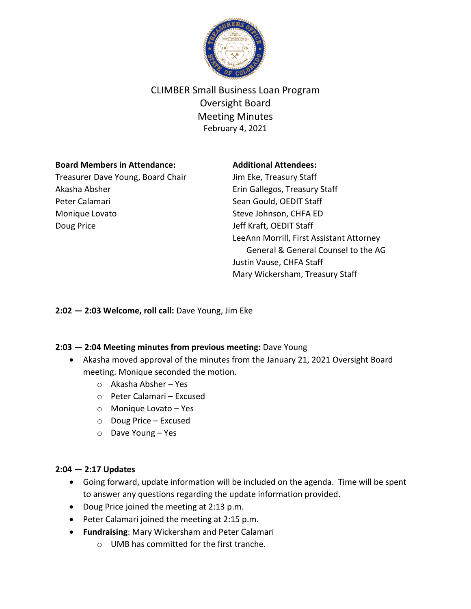

# CLIMBER Small Business Loan Program Oversight Board Meeting Minutes February 4, 2021

## **Board Members in Attendance:**

Treasurer Dave Young, Board Chair Akasha Absher Peter Calamari Monique Lovato Doug Price

## **Additional Attendees:**

Jim Eke, Treasury Staff Erin Gallegos, Treasury Staff Sean Gould, OEDIT Staff Steve Johnson, CHFA ED Jeff Kraft, OEDIT Staff LeeAnn Morrill, First Assistant Attorney General & General Counsel to the AG Justin Vause, CHFA Staff Mary Wickersham, Treasury Staff

**2:02 — 2:03 Welcome, roll call:** Dave Young, Jim Eke

# **2:03 — 2:04 Meeting minutes from previous meeting:** Dave Young

- Akasha moved approval of the minutes from the January 21, 2021 Oversight Board meeting. Monique seconded the motion.
	- o Akasha Absher Yes
	- o Peter Calamari Excused
	- o Monique Lovato Yes
	- o Doug Price Excused
	- o Dave Young Yes

# **2:04 — 2:17 Updates**

- Going forward, update information will be included on the agenda. Time will be spent to answer any questions regarding the update information provided.
- Doug Price joined the meeting at 2:13 p.m.
- Peter Calamari joined the meeting at 2:15 p.m.
- **Fundraising**: Mary Wickersham and Peter Calamari
	- o UMB has committed for the first tranche.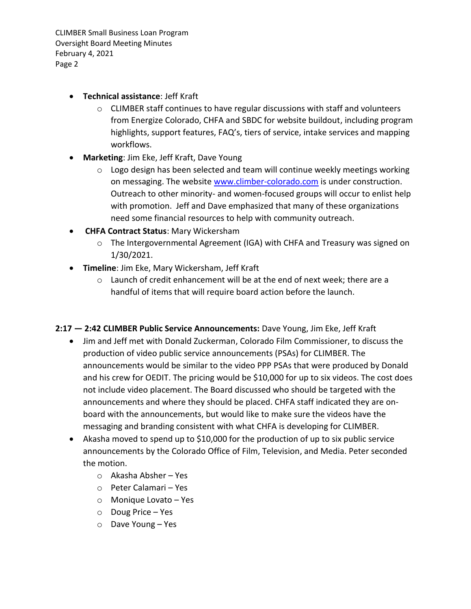CLIMBER Small Business Loan Program Oversight Board Meeting Minutes February 4, 2021 Page 2

- **Technical assistance**: Jeff Kraft
	- o CLIMBER staff continues to have regular discussions with staff and volunteers from Energize Colorado, CHFA and SBDC for website buildout, including program highlights, support features, FAQ's, tiers of service, intake services and mapping workflows.
- **Marketing**: Jim Eke, Jeff Kraft, Dave Young
	- o Logo design has been selected and team will continue weekly meetings working on messaging. The website [www.climber-colorado.com](http://www.climber-colorado.com/) is under construction. Outreach to other minority- and women-focused groups will occur to enlist help with promotion. Jeff and Dave emphasized that many of these organizations need some financial resources to help with community outreach.
- **CHFA Contract Status**: Mary Wickersham
	- o The Intergovernmental Agreement (IGA) with CHFA and Treasury was signed on 1/30/2021.
- **Timeline**: Jim Eke, Mary Wickersham, Jeff Kraft
	- $\circ$  Launch of credit enhancement will be at the end of next week; there are a handful of items that will require board action before the launch.
- **2:17 — 2:42 CLIMBER Public Service Announcements:** Dave Young, Jim Eke, Jeff Kraft
	- Jim and Jeff met with Donald Zuckerman, Colorado Film Commissioner, to discuss the production of video public service announcements (PSAs) for CLIMBER. The announcements would be similar to the video PPP PSAs that were produced by Donald and his crew for OEDIT. The pricing would be \$10,000 for up to six videos. The cost does not include video placement. The Board discussed who should be targeted with the announcements and where they should be placed. CHFA staff indicated they are onboard with the announcements, but would like to make sure the videos have the messaging and branding consistent with what CHFA is developing for CLIMBER.
	- Akasha moved to spend up to \$10,000 for the production of up to six public service announcements by the Colorado Office of Film, Television, and Media. Peter seconded the motion.
		- o Akasha Absher Yes
		- o Peter Calamari Yes
		- o Monique Lovato Yes
		- o Doug Price Yes
		- o Dave Young Yes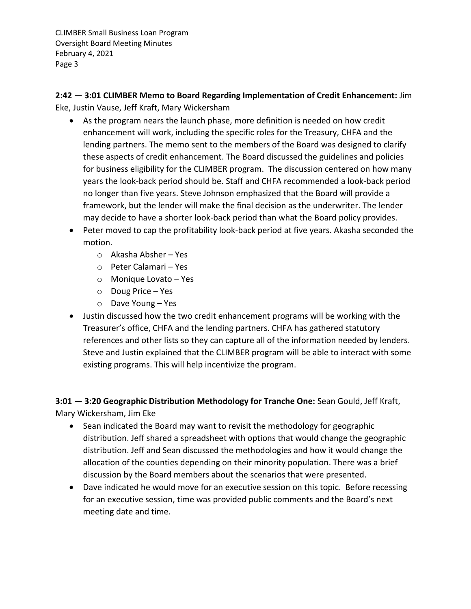CLIMBER Small Business Loan Program Oversight Board Meeting Minutes February 4, 2021 Page 3

**2:42 — 3:01 CLIMBER Memo to Board Regarding Implementation of Credit Enhancement:** Jim Eke, Justin Vause, Jeff Kraft, Mary Wickersham

- As the program nears the launch phase, more definition is needed on how credit enhancement will work, including the specific roles for the Treasury, CHFA and the lending partners. The memo sent to the members of the Board was designed to clarify these aspects of credit enhancement. The Board discussed the guidelines and policies for business eligibility for the CLIMBER program. The discussion centered on how many years the look-back period should be. Staff and CHFA recommended a look-back period no longer than five years. Steve Johnson emphasized that the Board will provide a framework, but the lender will make the final decision as the underwriter. The lender may decide to have a shorter look-back period than what the Board policy provides.
- Peter moved to cap the profitability look-back period at five years. Akasha seconded the motion.
	- o Akasha Absher Yes
	- o Peter Calamari Yes
	- o Monique Lovato Yes
	- o Doug Price Yes
	- o Dave Young Yes
- Justin discussed how the two credit enhancement programs will be working with the Treasurer's office, CHFA and the lending partners. CHFA has gathered statutory references and other lists so they can capture all of the information needed by lenders. Steve and Justin explained that the CLIMBER program will be able to interact with some existing programs. This will help incentivize the program.

**3:01 — 3:20 Geographic Distribution Methodology for Tranche One:** Sean Gould, Jeff Kraft, Mary Wickersham, Jim Eke

- Sean indicated the Board may want to revisit the methodology for geographic distribution. Jeff shared a spreadsheet with options that would change the geographic distribution. Jeff and Sean discussed the methodologies and how it would change the allocation of the counties depending on their minority population. There was a brief discussion by the Board members about the scenarios that were presented.
- Dave indicated he would move for an executive session on this topic. Before recessing for an executive session, time was provided public comments and the Board's next meeting date and time.